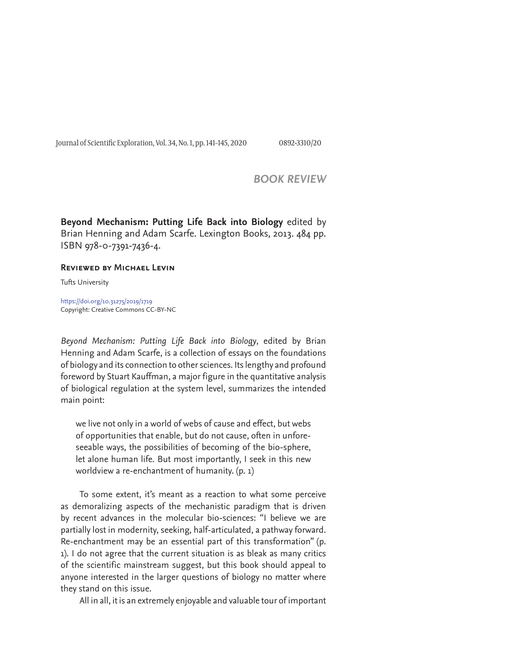Journal of Scientific Exploration, Vol. 34, No. 1, pp. 141-145, 2020 0892-3310/20

## *BOOK REVIEW*

**Beyond Mechanism: Putting Life Back into Biology** edited by Brian Henning and Adam Scarfe. Lexington Books, 2013. 484 pp. ISBN 978-0-7391-7436-4.

## **Reviewed by Michael Levin**

Tufts University

https://doi.org/10.31275/2019/1719 Copyright: Creative Commons CC-BY-NC

*Beyond Mechanism: Putting Life Back into Biology*, edited by Brian Henning and Adam Scarfe, is a collection of essays on the foundations of biology and its connection to other sciences. Its lengthy and profound foreword by Stuart Kauffman, a major figure in the quantitative analysis of biological regulation at the system level, summarizes the intended main point:

we live not only in a world of webs of cause and effect, but webs of opportunities that enable, but do not cause, often in unforeseeable ways, the possibilities of becoming of the bio-sphere, let alone human life. But most importantly, I seek in this new worldview a re-enchantment of humanity. (p. 1)

To some extent, it's meant as a reaction to what some perceive as demoralizing aspects of the mechanistic paradigm that is driven by recent advances in the molecular bio-sciences: "I believe we are partially lost in modernity, seeking, half-articulated, a pathway forward. Re-enchantment may be an essential part of this transformation" (p. 1). I do not agree that the current situation is as bleak as many critics of the scientific mainstream suggest, but this book should appeal to anyone interested in the larger questions of biology no matter where they stand on this issue.

All in all, it is an extremely enjoyable and valuable tour of important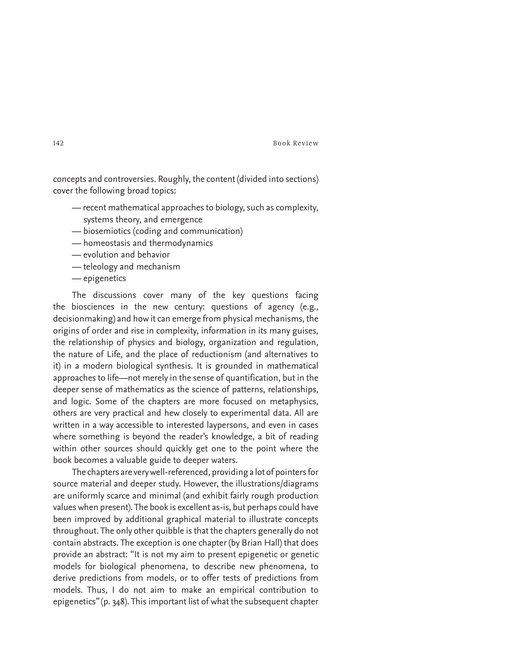concepts and controversies. Roughly, the content (divided into sections) cover the following broad topics:

- recent mathematical approaches to biology, such as complexity, systems theory, and emergence
- biosemiotics (coding and communication)
- homeostasis and thermodynamics
- evolution and behavior
- teleology and mechanism
- epigenetics

The discussions cover many of the key questions facing the biosciences in the new century: questions of agency (e.g., decisionmaking) and how it can emerge from physical mechanisms, the origins of order and rise in complexity, information in its many guises, the relationship of physics and biology, organization and regulation, the nature of Life, and the place of reductionism (and alternatives to it) in a modern biological synthesis. It is grounded in mathematical approaches to life—not merely in the sense of quantification, but in the deeper sense of mathematics as the science of patterns, relationships, and logic. Some of the chapters are more focused on metaphysics, others are very practical and hew closely to experimental data. All are written in a way accessible to interested laypersons, and even in cases where something is beyond the reader's knowledge, a bit of reading within other sources should quickly get one to the point where the book becomes a valuable guide to deeper waters.

The chapters are very well-referenced, providing a lot of pointers for source material and deeper study. However, the illustrations/diagrams are uniformly scarce and minimal (and exhibit fairly rough production values when present). The book is excellent as-is, but perhaps could have been improved by additional graphical material to illustrate concepts throughout. The only other quibble is that the chapters generally do not contain abstracts. The exception is one chapter (by Brian Hall) that does provide an abstract: "It is not my aim to present epigenetic or genetic models for biological phenomena, to describe new phenomena, to derive predictions from models, or to offer tests of predictions from models. Thus, I do not aim to make an empirical contribution to epigenetics" (p. 348). This important list of what the subsequent chapter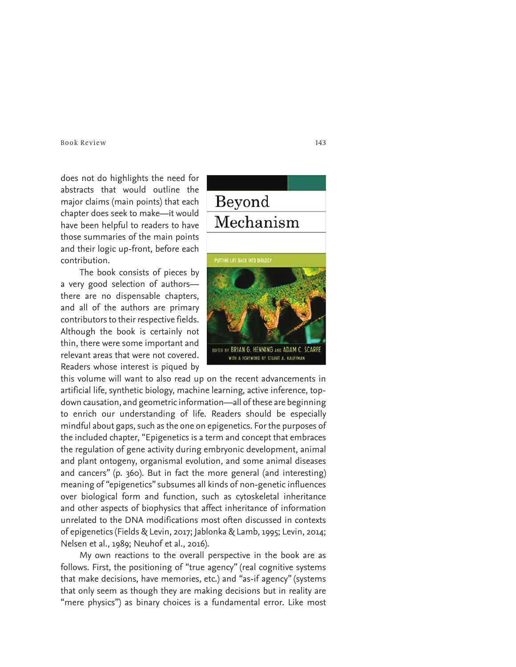does not do highlights the need for abstracts that would outline the major claims (main points) that each chapter does seek to make—it would have been helpful to readers to have those summaries of the main points and their logic up-front, before each contribution.

The book consists of pieces by a very good selection of authors there are no dispensable chapters, and all of the authors are primary contributors to their respective fields. Although the book is certainly not thin, there were some important and relevant areas that were not covered. Readers whose interest is piqued by

this volume will want to also read up on the recent advancements in artificial life, synthetic biology, machine learning, active inference, topdown causation, and geometric information—all of these are beginning to enrich our understanding of life. Readers should be especially mindful about gaps, such as the one on epigenetics. For the purposes of the included chapter, "Epigenetics is a term and concept that embraces the regulation of gene activity during embryonic development, animal and plant ontogeny, organismal evolution, and some animal diseases and cancers" (p. 360). But in fact the more general (and interesting) meaning of "epigenetics" subsumes all kinds of non-genetic influences over biological form and function, such as cytoskeletal inheritance and other aspects of biophysics that affect inheritance of information unrelated to the DNA modifications most often discussed in contexts of epigenetics (Fields & Levin, 2017; Jablonka & Lamb, 1995; Levin, 2014; Nelsen et al., 1989; Neuhof et al., 2016).

My own reactions to the overall perspective in the book are as follows. First, the positioning of "true agency" (real cognitive systems that make decisions, have memories, etc.) and "as-if agency" (systems that only seem as though they are making decisions but in reality are "mere physics") as binary choices is a fundamental error. Like most

Beyond Mechanism

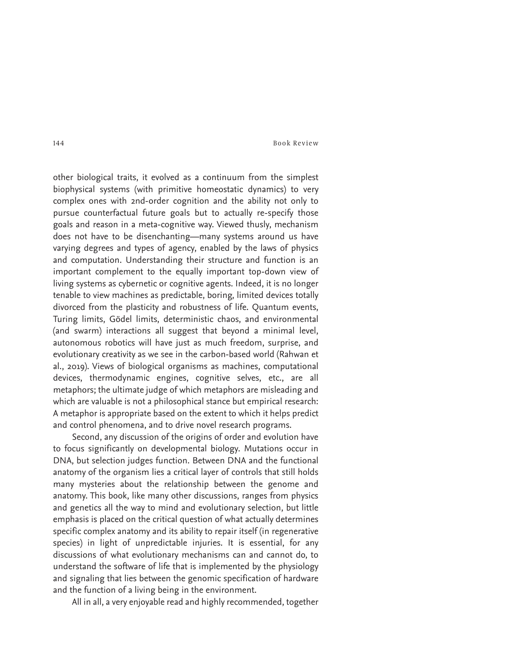other biological traits, it evolved as a continuum from the simplest biophysical systems (with primitive homeostatic dynamics) to very complex ones with 2nd-order cognition and the ability not only to pursue counterfactual future goals but to actually re-specify those goals and reason in a meta-cognitive way. Viewed thusly, mechanism does not have to be disenchanting—many systems around us have varying degrees and types of agency, enabled by the laws of physics and computation. Understanding their structure and function is an important complement to the equally important top-down view of living systems as cybernetic or cognitive agents. Indeed, it is no longer tenable to view machines as predictable, boring, limited devices totally divorced from the plasticity and robustness of life. Quantum events, Turing limits, Gödel limits, deterministic chaos, and environmental (and swarm) interactions all suggest that beyond a minimal level, autonomous robotics will have just as much freedom, surprise, and evolutionary creativity as we see in the carbon-based world (Rahwan et al., 2019). Views of biological organisms as machines, computational devices, thermodynamic engines, cognitive selves, etc., are all metaphors; the ultimate judge of which metaphors are misleading and which are valuable is not a philosophical stance but empirical research: A metaphor is appropriate based on the extent to which it helps predict and control phenomena, and to drive novel research programs.

Second, any discussion of the origins of order and evolution have to focus significantly on developmental biology. Mutations occur in DNA, but selection judges function. Between DNA and the functional anatomy of the organism lies a critical layer of controls that still holds many mysteries about the relationship between the genome and anatomy. This book, like many other discussions, ranges from physics and genetics all the way to mind and evolutionary selection, but little emphasis is placed on the critical question of what actually determines specific complex anatomy and its ability to repair itself (in regenerative species) in light of unpredictable injuries. It is essential, for any discussions of what evolutionary mechanisms can and cannot do, to understand the software of life that is implemented by the physiology and signaling that lies between the genomic specification of hardware and the function of a living being in the environment.

All in all, a very enjoyable read and highly recommended, together